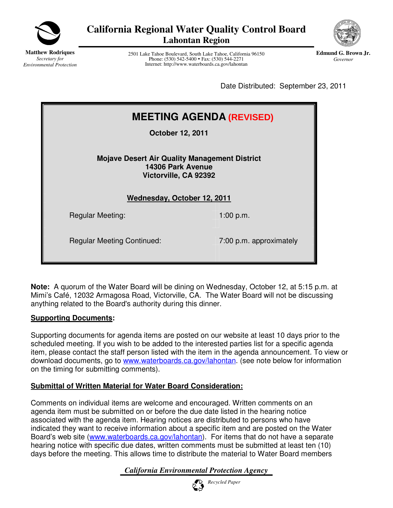

**California Regional Water Quality Control Board Lahontan Region** 



**Matthew Rodriques** *Secretary for Environmental Protection*

2501 Lake Tahoe Boulevard, South Lake Tahoe, California 96150 Phone: (530) 542-5400 • Fax: (530) 544-2271 Internet: http://www.waterboards.ca.gov/lahontan

**Edmund G. Brown Jr.** *Governor* 

Date Distributed: September 23, 2011

| <b>MEETING AGENDA (REVISED)</b>                                                                    |                         |  |
|----------------------------------------------------------------------------------------------------|-------------------------|--|
| <b>October 12, 2011</b>                                                                            |                         |  |
| <b>Mojave Desert Air Quality Management District</b><br>14306 Park Avenue<br>Victorville, CA 92392 |                         |  |
| Wednesday, October 12, 2011                                                                        |                         |  |
| <b>Regular Meeting:</b>                                                                            | 1:00 p.m.               |  |
| <b>Regular Meeting Continued:</b>                                                                  | 7:00 p.m. approximately |  |

**Note:** A quorum of the Water Board will be dining on Wednesday, October 12, at 5:15 p.m. at Mimi's Café, 12032 Armagosa Road, Victorville, CA. The Water Board will not be discussing anything related to the Board's authority during this dinner.

### **Supporting Documents:**

Supporting documents for agenda items are posted on our website at least 10 days prior to the scheduled meeting. If you wish to be added to the interested parties list for a specific agenda item, please contact the staff person listed with the item in the agenda announcement. To view or download documents, go to www.waterboards.ca.gov/lahontan. (see note below for information on the timing for submitting comments).

### **Submittal of Written Material for Water Board Consideration:**

Comments on individual items are welcome and encouraged. Written comments on an agenda item must be submitted on or before the due date listed in the hearing notice associated with the agenda item. Hearing notices are distributed to persons who have indicated they want to receive information about a specific item and are posted on the Water Board's web site (www.waterboards.ca.gov/lahontan). For items that do not have a separate hearing notice with specific due dates, written comments must be submitted at least ten (10) days before the meeting. This allows time to distribute the material to Water Board members

*California Environmental Protection Agency*

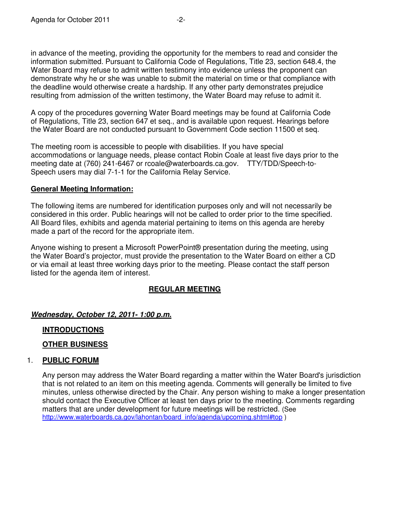in advance of the meeting, providing the opportunity for the members to read and consider the information submitted. Pursuant to California Code of Regulations, Title 23, section 648.4, the Water Board may refuse to admit written testimony into evidence unless the proponent can demonstrate why he or she was unable to submit the material on time or that compliance with the deadline would otherwise create a hardship. If any other party demonstrates prejudice resulting from admission of the written testimony, the Water Board may refuse to admit it.

A copy of the procedures governing Water Board meetings may be found at California Code of Regulations, Title 23, section 647 et seq., and is available upon request. Hearings before the Water Board are not conducted pursuant to Government Code section 11500 et seq*.*

The meeting room is accessible to people with disabilities. If you have special accommodations or language needs, please contact Robin Coale at least five days prior to the meeting date at (760) 241-6467 or rcoale@waterboards.ca.gov. TTY/TDD/Speech-to-Speech users may dial 7-1-1 for the California Relay Service.

### **General Meeting Information:**

The following items are numbered for identification purposes only and will not necessarily be considered in this order. Public hearings will not be called to order prior to the time specified. All Board files, exhibits and agenda material pertaining to items on this agenda are hereby made a part of the record for the appropriate item.

Anyone wishing to present a Microsoft PowerPoint® presentation during the meeting, using the Water Board's projector, must provide the presentation to the Water Board on either a CD or via email at least three working days prior to the meeting. Please contact the staff person listed for the agenda item of interest.

### **REGULAR MEETING**

### *Wednesday, October 12, 2011- 1:00 p.m.*

### **INTRODUCTIONS**

### **OTHER BUSINESS**

### 1. **PUBLIC FORUM**

Any person may address the Water Board regarding a matter within the Water Board's jurisdiction that is not related to an item on this meeting agenda. Comments will generally be limited to five minutes, unless otherwise directed by the Chair. Any person wishing to make a longer presentation should contact the Executive Officer at least ten days prior to the meeting. Comments regarding matters that are under development for future meetings will be restricted. (See http://www.waterboards.ca.gov/lahontan/board\_info/agenda/upcoming.shtml#top )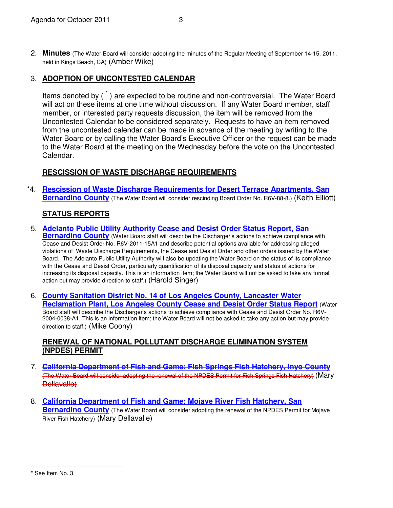2. **Minutes** (The Water Board will consider adopting the minutes of the Regular Meeting of September 14-15, 2011, held in Kings Beach, CA) (Amber Wike)

## 3. **ADOPTION OF UNCONTESTED CALENDAR**

Items denoted by (<sup>\*</sup>) are expected to be routine and non-controversial. The Water Board will act on these items at one time without discussion. If any Water Board member, staff member, or interested party requests discussion, the item will be removed from the Uncontested Calendar to be considered separately. Requests to have an item removed from the uncontested calendar can be made in advance of the meeting by writing to the Water Board or by calling the Water Board's Executive Officer or the request can be made to the Water Board at the meeting on the Wednesday before the vote on the Uncontested Calendar.

# **RESCISSION OF WASTE DISCHARGE REQUIREMENTS**

\*4. **[Rescission of Waste Discharge Requirements for Desert Terrace Apartments, San](http://www.waterboards.ca.gov/lahontan/board_info/agenda/2011/oct/item_4_desertterrace.pdf)  Bernardino County** (The Water Board will consider rescinding Board Order No. R6V-88-8.) (Keith Elliott)

# **STATUS REPORTS**

- 5. **[Adelanto Public Utility Authority Cease and Desist Order Status Report, San](http://www.waterboards.ca.gov/lahontan/board_info/agenda/2011/oct/item5adelanto.pdf)  Bernardino County** (Water Board staff will describe the Discharger's actions to achieve compliance with Cease and Desist Order No. R6V-2011-15A1 and describe potential options available for addressing alleged violations of Waste Discharge Requirements, the Cease and Desist Order and other orders issued by the Water Board. The Adelanto Public Utility Authority will also be updating the Water Board on the status of its compliance with the Cease and Desist Order, particularly quantification of its disposal capacity and status of actions for increasing its disposal capacity. This is an information item; the Water Board will not be asked to take any formal action but may provide direction to staff.) (Harold Singer)
- 6. **[County Sanitation District No. 14 of Los Angeles County, Lancaster Water](http://www.waterboards.ca.gov/lahontan/board_info/agenda/2011/oct/item_6_lacsd.pdf)  Reclamation Plant, Los Angeles County Cease and Desist Order Status Report** (Water Board staff will describe the Discharger's actions to achieve compliance with Cease and Desist Order No. R6V-2004-0038-A1. This is an information item; the Water Board will not be asked to take any action but may provide direction to staff.) (Mike Coony)

## **RENEWAL OF NATIONAL POLLUTANT DISCHARGE ELIMINATION SYSTEM (NPDES) PERMIT**

- 7. **[California Department of Fish and Game; Fish Springs Fish Hatchery, Inyo County](http://www.waterboards.ca.gov/lahontan/board_info/agenda/2011/oct/item_7_fishspringfh.pdf)** (The Water Board will consider adopting the renewal of the NPDES Permit for Fish Springs Fish Hatchery) (Mary Dellavalle)
- 8. **[California Department of Fish and Game; Mojave River Fish Hatchery, San](http://www.waterboards.ca.gov/lahontan/board_info/agenda/2011/oct/item_8_mojaveriverfh.pdf)  Bernardino County** (The Water Board will consider adopting the renewal of the NPDES Permit for Mojave River Fish Hatchery) (Mary Dellavalle)

<sup>-</sup>\* See Item No. 3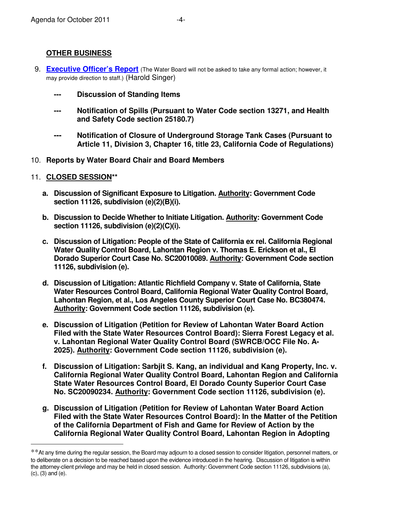## **OTHER BUSINESS**

- 9. **[Executive Officer's Report](http://www.waterboards.ca.gov/lahontan/publications_forms/available_documents/e_o_reports/2011/eorpt_oct11.pdf)** (The Water Board will not be asked to take any formal action; however, it may provide direction to staff.) (Harold Singer)
	- **--- Discussion of Standing Items**
	- **--- Notification of Spills (Pursuant to Water Code section 13271, and Health and Safety Code section 25180.7)**
	- **--- Notification of Closure of Underground Storage Tank Cases (Pursuant to Article 11, Division 3, Chapter 16, title 23, California Code of Regulations)**
- 10. **Reports by Water Board Chair and Board Members**
- 11. **CLOSED SESSION\*\***

 $\overline{a}$ 

- **a. Discussion of Significant Exposure to Litigation. Authority: Government Code section 11126, subdivision (e)(2)(B)(i).**
- **b. Discussion to Decide Whether to Initiate Litigation. Authority: Government Code section 11126, subdivision (e)(2)(C)(i).**
- **c. Discussion of Litigation: People of the State of California ex rel. California Regional Water Quality Control Board, Lahontan Region v. Thomas E. Erickson et al., El Dorado Superior Court Case No. SC20010089. Authority: Government Code section 11126, subdivision (e).**
- **d. Discussion of Litigation: Atlantic Richfield Company v. State of California, State Water Resources Control Board, California Regional Water Quality Control Board, Lahontan Region, et al., Los Angeles County Superior Court Case No. BC380474. Authority: Government Code section 11126, subdivision (e).**
- **e. Discussion of Litigation (Petition for Review of Lahontan Water Board Action Filed with the State Water Resources Control Board): Sierra Forest Legacy et al. v. Lahontan Regional Water Quality Control Board (SWRCB/OCC File No. A-2025). Authority: Government Code section 11126, subdivision (e).**
- **f. Discussion of Litigation: Sarbjit S. Kang, an individual and Kang Property, Inc. v. California Regional Water Quality Control Board, Lahontan Region and California State Water Resources Control Board, El Dorado County Superior Court Case No. SC20090234. Authority: Government Code section 11126, subdivision (e).**
- **g. Discussion of Litigation (Petition for Review of Lahontan Water Board Action Filed with the State Water Resources Control Board): In the Matter of the Petition of the California Department of Fish and Game for Review of Action by the California Regional Water Quality Control Board, Lahontan Region in Adopting**

<sup>\*\*</sup>At any time during the regular session, the Board may adjourn to a closed session to consider litigation, personnel matters, or to deliberate on a decision to be reached based upon the evidence introduced in the hearing. Discussion of litigation is within the attorney-client privilege and may be held in closed session. Authority: Government Code section 11126, subdivisions (a), (c), (3) and (e).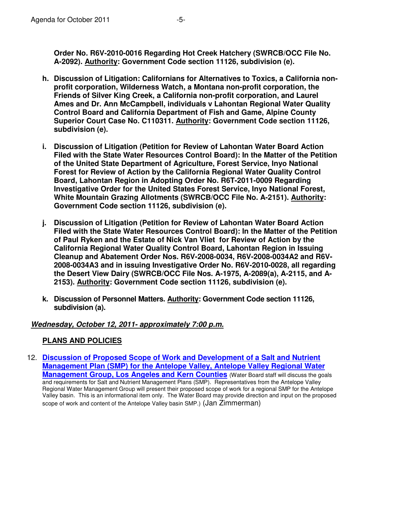**Order No. R6V-2010-0016 Regarding Hot Creek Hatchery (SWRCB/OCC File No. A-2092). Authority: Government Code section 11126, subdivision (e).** 

- **h. Discussion of Litigation: Californians for Alternatives to Toxics, a California nonprofit corporation, Wilderness Watch, a Montana non-profit corporation, the Friends of Silver King Creek, a California non-profit corporation, and Laurel Ames and Dr. Ann McCampbell, individuals v Lahontan Regional Water Quality Control Board and California Department of Fish and Game, Alpine County Superior Court Case No. C110311. Authority: Government Code section 11126, subdivision (e).**
- **i. Discussion of Litigation (Petition for Review of Lahontan Water Board Action Filed with the State Water Resources Control Board): In the Matter of the Petition of the United State Department of Agriculture, Forest Service, Inyo National Forest for Review of Action by the California Regional Water Quality Control Board, Lahontan Region in Adopting Order No. R6T-2011-0009 Regarding Investigative Order for the United States Forest Service, Inyo National Forest, White Mountain Grazing Allotments (SWRCB/OCC File No. A-2151). Authority: Government Code section 11126, subdivision (e).**
- **j. Discussion of Litigation (Petition for Review of Lahontan Water Board Action Filed with the State Water Resources Control Board): In the Matter of the Petition of Paul Ryken and the Estate of Nick Van Vliet for Review of Action by the California Regional Water Quality Control Board, Lahontan Region in Issuing Cleanup and Abatement Order Nos. R6V-2008-0034, R6V-2008-0034A2 and R6V-2008-0034A3 and in issuing Investigative Order No. R6V-2010-0028, all regarding the Desert View Dairy (SWRCB/OCC File Nos. A-1975, A-2089(a), A-2115, and A-2153). Authority: Government Code section 11126, subdivision (e).**
- **k. Discussion of Personnel Matters. Authority: Government Code section 11126, subdivision (a).**

### *Wednesday, October 12, 2011- approximately 7:00 p.m.*

## **PLANS AND POLICIES**

12. **Discussion of Proposed Scope of Work and Development of a Salt and Nutrient [Management Plan \(SMP\) for the Antelope Valley, Antelope Valley Regional Water](http://www.waterboards.ca.gov/lahontan/board_info/agenda/2011/oct/item_12_antelopevalley.pdf)  Management Group, Los Angeles and Kern Counties** (Water Board staff will discuss the goals and requirements for Salt and Nutrient Management Plans (SMP). Representatives from the Antelope Valley Regional Water Management Group will present their proposed scope of work for a regional SMP for the Antelope Valley basin. This is an informational item only. The Water Board may provide direction and input on the proposed scope of work and content of the Antelope Valley basin SMP.) (Jan Zimmerman)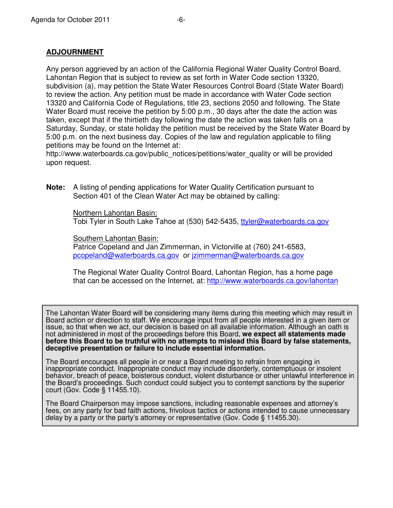Any person aggrieved by an action of the California Regional Water Quality Control Board, Lahontan Region that is subject to review as set forth in Water Code section 13320, subdivision (a), may petition the State Water Resources Control Board (State Water Board) to review the action. Any petition must be made in accordance with Water Code section 13320 and California Code of Regulations, title 23, sections 2050 and following. The State Water Board must receive the petition by 5:00 p.m., 30 days after the date the action was taken, except that if the thirtieth day following the date the action was taken falls on a Saturday, Sunday, or state holiday the petition must be received by the State Water Board by 5:00 p.m. on the next business day. Copies of the law and regulation applicable to filing petitions may be found on the Internet at:

http://www.waterboards.ca.gov/public\_notices/petitions/water\_quality or will be provided upon request.

**Note:** A listing of pending applications for Water Quality Certification pursuant to Section 401 of the Clean Water Act may be obtained by calling:

> Northern Lahontan Basin: Tobi Tyler in South Lake Tahoe at (530) 542-5435, ttyler@waterboards.ca.gov

Southern Lahontan Basin:

Patrice Copeland and Jan Zimmerman, in Victorville at (760) 241-6583, pcopeland@waterboards.ca.gov or jzimmerman@waterboards.ca.gov

The Regional Water Quality Control Board, Lahontan Region, has a home page that can be accessed on the Internet, at: http://www.waterboards.ca.gov/lahontan

The Lahontan Water Board will be considering many items during this meeting which may result in Board action or direction to staff. We encourage input from all people interested in a given item or issue, so that when we act, our decision is based on all available information. Although an oath is not administered in most of the proceedings before this Board, **we expect all statements made before this Board to be truthful with no attempts to mislead this Board by false statements, deceptive presentation or failure to include essential information.**

The Board encourages all people in or near a Board meeting to refrain from engaging in inappropriate conduct. Inappropriate conduct may include disorderly, contemptuous or insolent behavior, breach of peace, boisterous conduct, violent disturbance or other unlawful interference in the Board's proceedings. Such conduct could subject you to contempt sanctions by the superior court (Gov. Code § 11455.10).

The Board Chairperson may impose sanctions, including reasonable expenses and attorney's fees, on any party for bad faith actions, frivolous tactics or actions intended to cause unnecessary delay by a party or the party's attorney or representative (Gov. Code § 11455.30).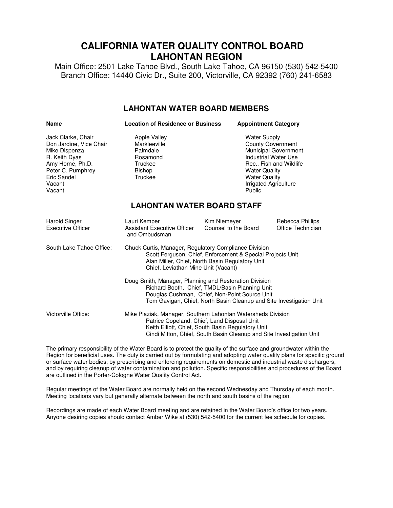# **CALIFORNIA WATER QUALITY CONTROL BOARD LAHONTAN REGION**

Main Office: 2501 Lake Tahoe Blvd., South Lake Tahoe, CA 96150 (530) 542-5400 Branch Office: 14440 Civic Dr., Suite 200, Victorville, CA 92392 (760) 241-6583

#### **LAHONTAN WATER BOARD MEMBERS**

| <b>Name</b>                                                                                                                                                 | <b>Location of Residence or Business</b>                                                                                                                                                                                                 |                                                                                                                                                                   | <b>Appointment Category</b>                     |  |
|-------------------------------------------------------------------------------------------------------------------------------------------------------------|------------------------------------------------------------------------------------------------------------------------------------------------------------------------------------------------------------------------------------------|-------------------------------------------------------------------------------------------------------------------------------------------------------------------|-------------------------------------------------|--|
| Jack Clarke, Chair<br>Don Jardine, Vice Chair<br>Mike Dispenza<br>R. Keith Dyas<br>Amy Horne, Ph.D.<br>Peter C. Pumphrey<br>Eric Sandel<br>Vacant<br>Vacant | Apple Valley<br>Markleeville<br>Palmdale<br>Rosamond<br>Truckee<br><b>Bishop</b><br>Truckee                                                                                                                                              | <b>Water Supply</b><br><b>County Government</b><br><b>Industrial Water Use</b><br><b>Water Quality</b><br><b>Water Quality</b><br>Irrigated Agriculture<br>Public | Municipal Government<br>Rec., Fish and Wildlife |  |
| <b>LAHONTAN WATER BOARD STAFF</b>                                                                                                                           |                                                                                                                                                                                                                                          |                                                                                                                                                                   |                                                 |  |
| <b>Harold Singer</b><br><b>Executive Officer</b>                                                                                                            | Lauri Kemper<br><b>Assistant Executive Officer</b><br>and Ombudsman                                                                                                                                                                      | Kim Niemeyer<br>Counsel to the Board                                                                                                                              | Rebecca Phillips<br>Office Technician           |  |
| South Lake Tahoe Office:                                                                                                                                    | Chuck Curtis, Manager, Regulatory Compliance Division<br>Scott Ferguson, Chief, Enforcement & Special Projects Unit<br>Alan Miller, Chief, North Basin Regulatory Unit<br>Chief, Leviathan Mine Unit (Vacant)                            |                                                                                                                                                                   |                                                 |  |
|                                                                                                                                                             | Doug Smith, Manager, Planning and Restoration Division<br>Richard Booth, Chief, TMDL/Basin Planning Unit<br>Douglas Cushman, Chief, Non-Point Source Unit<br>Tom Gavigan, Chief, North Basin Cleanup and Site Investigation Unit         |                                                                                                                                                                   |                                                 |  |
| Victorville Office:                                                                                                                                         | Mike Plaziak, Manager, Southern Lahontan Watersheds Division<br>Patrice Copeland, Chief, Land Disposal Unit<br>Keith Elliott, Chief, South Basin Regulatory Unit<br>Cindi Mitton, Chief, South Basin Cleanup and Site Investigation Unit |                                                                                                                                                                   |                                                 |  |

The primary responsibility of the Water Board is to protect the quality of the surface and groundwater within the Region for beneficial uses. The duty is carried out by formulating and adopting water quality plans for specific ground or surface water bodies; by prescribing and enforcing requirements on domestic and industrial waste dischargers, and by requiring cleanup of water contamination and pollution. Specific responsibilities and procedures of the Board are outlined in the Porter-Cologne Water Quality Control Act.

Regular meetings of the Water Board are normally held on the second Wednesday and Thursday of each month. Meeting locations vary but generally alternate between the north and south basins of the region.

Recordings are made of each Water Board meeting and are retained in the Water Board's office for two years. Anyone desiring copies should contact Amber Wike at (530) 542-5400 for the current fee schedule for copies.